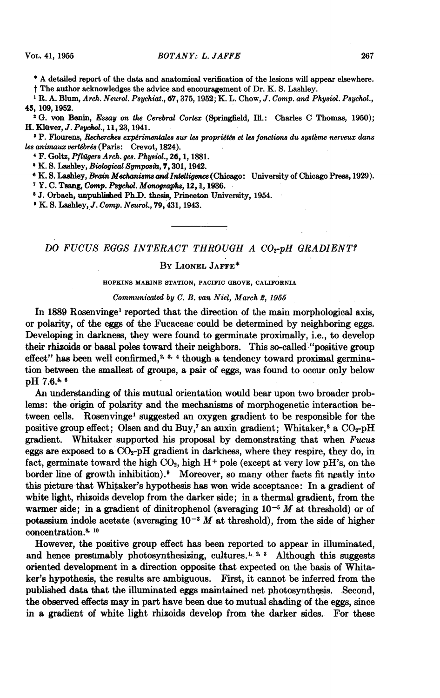\* A detailed report of the data and anatomical verification of the lesions will appear elsewhere.

<sup>t</sup> The author acknowledges the advice and encouragement of Dr. K. S. Lashley.

<sup>1</sup> R. A. Blum, Arch. Neurol. Psychiat., 67, 375, 1952; K. L. Chow, J. Comp. and Physiol. Psychol., 45, 109, 1952.

<sup>2</sup> G. von Bonin, Essay on the Cerebral Cortex (Springfield, Ill.: Charles C Thomas, 1950); H. Klüver, *J. Psychol.*, 11, 23, 1941.

 $^{\rm t}$  P. Flourens, Recherches expérimentales sur les propriétés et les fonctions du système nerveux dans les animaux vertébrés (Paris: Crevot, 1824).

4F. Goltz, Pflilgere Arch. gee. Physiol., 26, 1, 1881.

<sup>6</sup> K. S. Lashley, Biological Symposia, 7, 301, 1942.

<sup>6</sup> K. S. Lashley, *Brain Mechanisms and Intelligence* (Chicago: University of Chicago Press, 1929).

<sup>7</sup> Y. C. Tsang, Comp. Psychol. Monographs, 12, 1, 1936.

<sup>8</sup> J. Orbach, unpublished Ph.D. thesis, Princeton University, 1954.

<sup>9</sup> K. S. Lashley, J. Comp. Neurol., 79, 431, 1943.

## DO FUCUS EGGS INTERACT THROUGH A CO<sub>2</sub>-pH GRADIENT?

## BY LIONEL JAFFE\*

## HOPKINS MARINE STATION, PACIFIC GROVE, CALIFORNIA

Communicated by C. B. van Niel, March 2, 1965

In 1889 Rosenvingel reported that the direction of the main morphological axis, or polarity, of the eggs of the Fucaceae could be determined by neighboring eggs. Developing in darkness, they were found to germinate proximally, i.e., to develop their rhizoids or basal poles toward their neighbors. This so-called "positive group effect" has been well confirmed,<sup>2, 3, 4</sup> though a tendency toward proximal germination between the smallest of groups, a pair of eggs, was found to occur only below pH 7.6.5 <sup>6</sup>

An understanding of this mutual orientation would bear upon two broader problems: the-origin of polarity and the mechanisms of morphogenetic interaction between cells. Rosenvingel suggested an oxygen gradient to be responsible for the positive group effect; Olsen and du Buy,<sup>7</sup> an auxin gradient; Whitaker,<sup>8</sup> a CO<sub>2</sub>-pH gradient. Whitaker supported his proposal by demonstrating that when Fucus eggs are exposed to a  $CO<sub>2</sub>-pH$  gradient in darkness, where they respire, they do, in fact, germinate toward the high  $CO<sub>2</sub>$ , high  $H<sup>+</sup>$  pole (except at very low pH's, on the border line of growth inhibition). $9$  Moreover, so many other facts fit neatly into this picture that Whitaker's hypothesis has won wide acceptance: In a gradient of white light, rhisoids develop from the darker side; in a thermal gradient, from the warmer side; in a gradient of dinitrophenol (averaging  $10^{-5}$  M at threshold) or of potassium indole acetate (averaging  $10^{-3}$  M at threshold), from the side of higher concentration.<sup>8, 10</sup>

However, the positive group effect has been reported to appear in illuminated, and hence presumably photosynthesizing, cultures.<sup>1, 2, 3</sup> Although this suggests oriented development in a direction opposite that expected on the basis of Whitaker's hypothesis, the results are ambiguous. First, it cannot be inferred from the published data that the illuminated eggs maintained net photosynthesis. Second, the observed effects may in part have been due to mutual shading of the eggs, since in a gradient of white light rhizoids develop from the darker sides. For these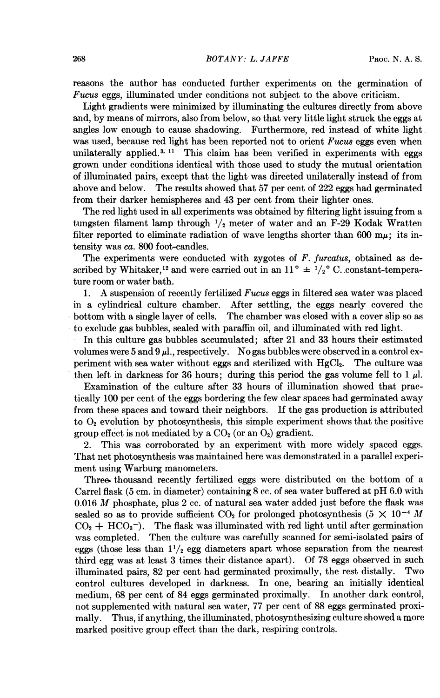reasons the author has conducted further experiments on the germination of Fucus eggs, illuminated under conditions not subject to the above criticism.

Light gradients were minimized by illuminating the cultures directly from above and, by means of mirrors, also from below, so that very little light struck the eggs at angles low enough to cause shadowing. Furthermore, red instead of white light was used, because red light has been reported not to orient  $Fucus$  eggs even when unilaterally applied. $3, 11$  This claim has been verified in experiments with eggs grown under conditions identical with those used to study the mutual orientation of illuminated pairs, except that the light was directed unilaterally instead of from above and below. The results showed that 57 per cent of 222 eggs had germinated from their darker hemispheres and 43 per cent from their lighter ones.

The red light used in all experiments was obtained by filtering light issuing from a tungsten filament lamp through  $1/2$  meter of water and an F-29 Kodak Wratten filter reported to eliminate radiation of wave lengths shorter than 600 m $\mu$ ; its intensity was ca. 800 foot-candles.

The experiments were conducted with zygotes of F. furcatus, obtained as described by Whitaker,<sup>12</sup> and were carried out in an  $11^{\circ} \pm \frac{1}{2}^{\circ}$  C. constant-temperature room or water bath.

1. A suspension of recently fertilized Fucus eggs in filtered sea water was placed in a cylindrical culture chamber. After settling, the eggs nearly covered the bottom with a single layer of cells. The chamber was closed with a cover slip so as to exclude gas bubbles, sealed with paraffin oil, and illuminated with red light.

In this culture gas bubbles accumulated; after 21 and 33 hours their estimated volumes were 5 and 9  $\mu$ ., respectively. No gas bubbles were observed in a control experiment with sea water without eggs and sterilized with HgCl2. The culture was then left in darkness for 36 hours; during this period the gas volume fell to 1  $\mu$ .

Examination of the culture after 33 hours of illumination showed that practically 100 per cent of the eggs bordering the few clear spaces had germinated away from these spaces and toward their neighbors. If the gas production is attributed to  $O<sub>2</sub>$  evolution by photosynthesis, this simple experiment shows that the positive group effect is not mediated by a  $CO<sub>2</sub>$  (or an  $O<sub>2</sub>$ ) gradient.

2. This was corroborated by an experiment with more widely spaced eggs. That net photosynthesis was maintained here was demonstrated in a parallel experiment using Warburg manometers.

Three thousand recently fertilized eggs were distributed on the bottom of a Carrel flask (5 cm. in diameter) containing <sup>8</sup> cc. of sea water buffered at pH 6.0 with 0.016  $M$  phosphate, plus 2 cc. of natural sea water added just before the flask was sealed so as to provide sufficient CO<sub>2</sub> for prolonged photosynthesis (5  $\times$  10<sup>-4</sup> M  $CO<sub>2</sub> + HCO<sub>3</sub>$ . The flask was illuminated with red light until after germination was completed. Then the culture was carefully scanned for semi-isolated pairs of eggs (those less than  $1\frac{1}{2}$  egg diameters apart whose separation from the nearest third egg was at least 3 times their distance apart). Of 78 eggs observed in such illuminated pairs, 82 per cent had germinated proximally, the rest distally. Two control cultures developed in darkness. In one, bearing an initially identical medium, 68 per cent of 84 eggs germinated proximally. In another dark control, not supplemented with natural sea water, 77 per cent of 88 eggs germinated proximally. Thus, if anything, the illuminated, photosynthesizing culture showeda more marked positive group effect than the dark, respiring controls.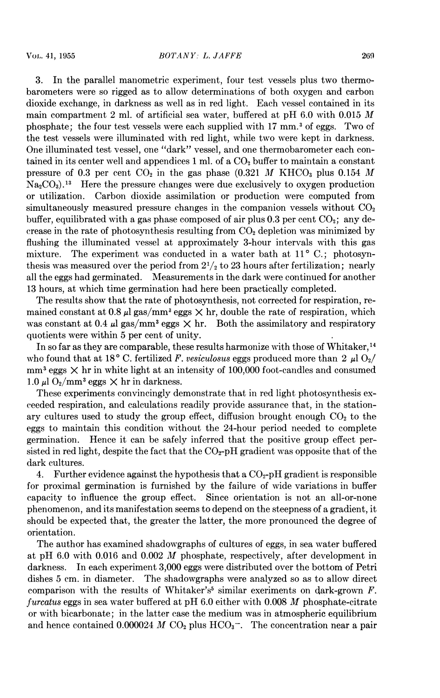3. In the parallel manometric experiment, four test vessels plus two thermobarometers were so rigged as to allow determinations of both oxygen and carbon dioxide exchange, in darkness as well as in red light. Each vessel contained in its main compartment 2 ml. of artificial sea water, buffered at pH  $6.0$  with 0.015 M phosphate; the four test vessels were each supplied with <sup>17</sup> mm.3 of eggs. Two of the test vessels were illuminated with red light, while two were kept in darkness. One illuminated test vessel, one "dark" vessel, and one thermobarometer each contained in its center well and appendices 1 ml. of a  $CO<sub>2</sub>$  buffer to maintain a constant pressure of 0.3 per cent  $CO<sub>2</sub>$  in the gas phase (0.321 M KHCO<sub>3</sub> plus 0.154 M  $Na<sub>2</sub>CO<sub>3</sub>$ <sup>13</sup> Here the pressure changes were due exclusively to oxygen production or utilization. Carbon dioxide assimilation or production were computed from simultaneously measured pressure changes in the companion vessels without  $CO<sub>2</sub>$ buffer, equilibrated with a gas phase composed of air plus  $0.3$  per cent  $CO<sub>2</sub>$ ; any decrease in the rate of photosynthesis resulting from  $CO<sub>2</sub>$  depletion was minimized by flushing the illuminated vessel at approximately 3-hour intervals with this gas mixture. The experiment was conducted in a water bath at  $11^{\circ}$  C.; photosynthesis was measured over the period from  $2^{1/2}$  to 23 hours after fertilization; nearly all the eggs had germinated. Measurements in the dark were continued for another 13 hours, at which time germination had here been practically completed.

The results show that the rate of photosynthesis, not corrected for respiration, remained constant at 0.8  $\mu$ l gas/mm<sup>3</sup> eggs  $\times$  hr, double the rate of respiration, which was constant at 0.4  $\mu$ l gas/mm<sup>3</sup> eggs  $\times$  hr. Both the assimilatory and respiratory quotients were within 5 per cent of unity.

In so far as they are comparable, these results harmonize with those of Whitaker, <sup>14</sup> who found that at 18° C. fertilized F. vesiculosus eggs produced more than 2  $\mu$ l O<sub>2</sub>/  $mm<sup>3</sup>$  eggs  $\times$  hr in white light at an intensity of 100,000 foot-candles and consumed 1.0  $\mu$ l O<sub>2</sub>/mm<sup>3</sup> eggs  $\times$  hr in darkness.

These experiments convincingly demonstrate that in red light photosynthesis exceeded respiration, and calculations readily provide assurance that, in the stationary cultures used to study the group effect, diffusion brought enough  $CO<sub>2</sub>$  to the eggs to maintain this condition without the 24-hour period needed to complete germination. Hence it can be safely inferred that the positive group effect persisted in red light, despite the fact that the  $CO<sub>2</sub>-pH$  gradient was opposite that of the dark cultures.

4. Further evidence against the hypothesis that a  $CO<sub>2</sub>$ -pH gradient is responsible for proximal germination is furnished by the failure of wide variations in buffer capacity to influence the group effect. Since orientation is not an all-or-none phenomenon, and its manifestation seems to depend on the steepness of a gradient, it should be expected that, the greater the latter, the more pronounced the degree of orientation.

The author has examined shadowgraphs of cultures of eggs, in sea water buffered at pH 6.0 with 0.016 and 0.002 M phosphate, respectively, after development in darkness. In each experiment 3,000 eggs were distributed over the bottom of Petri dishes 5 cm. in diameter. The shadowgraphs were analyzed so as to allow direct comparison with the results of Whitaker's<sup>5</sup> similar exeriments on dark-grown  $F$ . furcatus eggs in sea water buffered at pH  $6.0$  either with 0.008 M phosphate-citrate or with bicarbonate; in the latter case the medium was in atmospheric equilibrium and hence contained 0.000024 M  $CO<sub>2</sub>$  plus  $HCO<sub>3</sub>$ <sup>-</sup>. The concentration near a pair